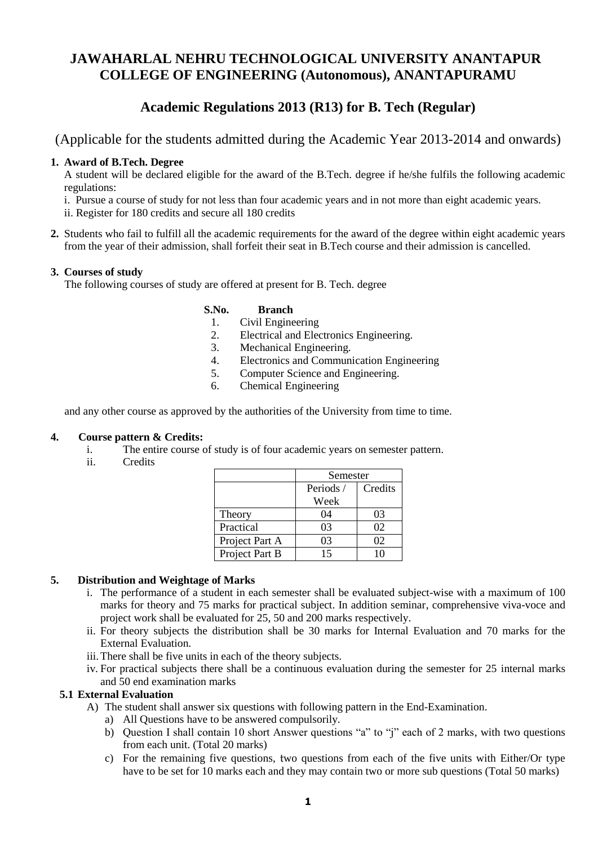# **JAWAHARLAL NEHRU TECHNOLOGICAL UNIVERSITY ANANTAPUR COLLEGE OF ENGINEERING (Autonomous), ANANTAPURAMU**

## **Academic Regulations 2013 (R13) for B. Tech (Regular)**

(Applicable for the students admitted during the Academic Year 2013-2014 and onwards)

## **1. Award of B.Tech. Degree**

A student will be declared eligible for the award of the B.Tech. degree if he/she fulfils the following academic regulations:

- i. Pursue a course of study for not less than four academic years and in not more than eight academic years.
- ii. Register for 180 credits and secure all 180 credits
- **2.** Students who fail to fulfill all the academic requirements for the award of the degree within eight academic years from the year of their admission, shall forfeit their seat in B.Tech course and their admission is cancelled.

## **3. Courses of study**

The following courses of study are offered at present for B. Tech. degree

## **S.No. Branch**

- 1. Civil Engineering
- 2. Electrical and Electronics Engineering.
- 3. Mechanical Engineering.
- 4. Electronics and Communication Engineering
- 5. Computer Science and Engineering.
- 6. Chemical Engineering

and any other course as approved by the authorities of the University from time to time.

#### **4. Course pattern & Credits:**

- i. The entire course of study is of four academic years on semester pattern.
- ii. Credits

|                | Semester |         |
|----------------|----------|---------|
|                | Periods/ | Credits |
|                | Week     |         |
| Theory         | 04       | 03      |
| Practical      | 03       | 02      |
| Project Part A | 03       | 02      |
| Project Part B | 15       | 10      |

#### **5. Distribution and Weightage of Marks**

- i. The performance of a student in each semester shall be evaluated subject-wise with a maximum of 100 marks for theory and 75 marks for practical subject. In addition seminar, comprehensive viva-voce and project work shall be evaluated for 25, 50 and 200 marks respectively.
- ii. For theory subjects the distribution shall be 30 marks for Internal Evaluation and 70 marks for the External Evaluation.
- iii.There shall be five units in each of the theory subjects.
- iv. For practical subjects there shall be a continuous evaluation during the semester for 25 internal marks and 50 end examination marks

#### **5.1 External Evaluation**

- A) The student shall answer six questions with following pattern in the End-Examination.
	- a) All Questions have to be answered compulsorily.
	- b) Question I shall contain 10 short Answer questions "a" to "j" each of 2 marks, with two questions from each unit. (Total 20 marks)
	- c) For the remaining five questions, two questions from each of the five units with Either/Or type have to be set for 10 marks each and they may contain two or more sub questions (Total 50 marks)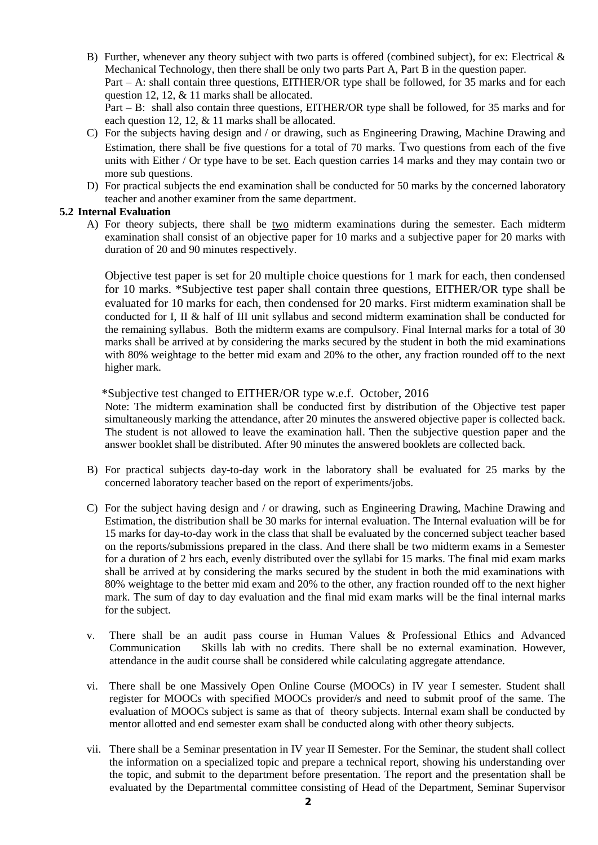- B) Further, whenever any theory subject with two parts is offered (combined subject), for ex: Electrical & Mechanical Technology, then there shall be only two parts Part A, Part B in the question paper. Part – A: shall contain three questions, EITHER/OR type shall be followed, for 35 marks and for each question 12, 12, & 11 marks shall be allocated. Part – B: shall also contain three questions, EITHER/OR type shall be followed, for 35 marks and for each question 12, 12, & 11 marks shall be allocated.
- C) For the subjects having design and / or drawing, such as Engineering Drawing, Machine Drawing and Estimation, there shall be five questions for a total of 70 marks. Two questions from each of the five units with Either / Or type have to be set. Each question carries 14 marks and they may contain two or more sub questions.
- D) For practical subjects the end examination shall be conducted for 50 marks by the concerned laboratory teacher and another examiner from the same department.

## **5.2 Internal Evaluation**

A) For theory subjects, there shall be two midterm examinations during the semester. Each midterm examination shall consist of an objective paper for 10 marks and a subjective paper for 20 marks with duration of 20 and 90 minutes respectively.

Objective test paper is set for 20 multiple choice questions for 1 mark for each, then condensed for 10 marks. \*Subjective test paper shall contain three questions, EITHER/OR type shall be evaluated for 10 marks for each, then condensed for 20 marks. First midterm examination shall be conducted for I, II & half of III unit syllabus and second midterm examination shall be conducted for the remaining syllabus. Both the midterm exams are compulsory. Final Internal marks for a total of 30 marks shall be arrived at by considering the marks secured by the student in both the mid examinations with 80% weightage to the better mid exam and 20% to the other, any fraction rounded off to the next higher mark.

\*Subjective test changed to EITHER/OR type w.e.f. October, 2016

Note: The midterm examination shall be conducted first by distribution of the Objective test paper simultaneously marking the attendance, after 20 minutes the answered objective paper is collected back. The student is not allowed to leave the examination hall. Then the subjective question paper and the answer booklet shall be distributed. After 90 minutes the answered booklets are collected back.

- B) For practical subjects day-to-day work in the laboratory shall be evaluated for 25 marks by the concerned laboratory teacher based on the report of experiments/jobs.
- C) For the subject having design and / or drawing, such as Engineering Drawing, Machine Drawing and Estimation, the distribution shall be 30 marks for internal evaluation. The Internal evaluation will be for 15 marks for day-to-day work in the class that shall be evaluated by the concerned subject teacher based on the reports/submissions prepared in the class. And there shall be two midterm exams in a Semester for a duration of 2 hrs each, evenly distributed over the syllabi for 15 marks. The final mid exam marks shall be arrived at by considering the marks secured by the student in both the mid examinations with 80% weightage to the better mid exam and 20% to the other, any fraction rounded off to the next higher mark. The sum of day to day evaluation and the final mid exam marks will be the final internal marks for the subject.
- v. There shall be an audit pass course in Human Values & Professional Ethics and Advanced Communication Skills lab with no credits. There shall be no external examination. However, attendance in the audit course shall be considered while calculating aggregate attendance.
- vi. There shall be one Massively Open Online Course (MOOCs) in IV year I semester. Student shall register for MOOCs with specified MOOCs provider/s and need to submit proof of the same. The evaluation of MOOCs subject is same as that of theory subjects. Internal exam shall be conducted by mentor allotted and end semester exam shall be conducted along with other theory subjects.
- vii. There shall be a Seminar presentation in IV year II Semester. For the Seminar, the student shall collect the information on a specialized topic and prepare a technical report, showing his understanding over the topic, and submit to the department before presentation. The report and the presentation shall be evaluated by the Departmental committee consisting of Head of the Department, Seminar Supervisor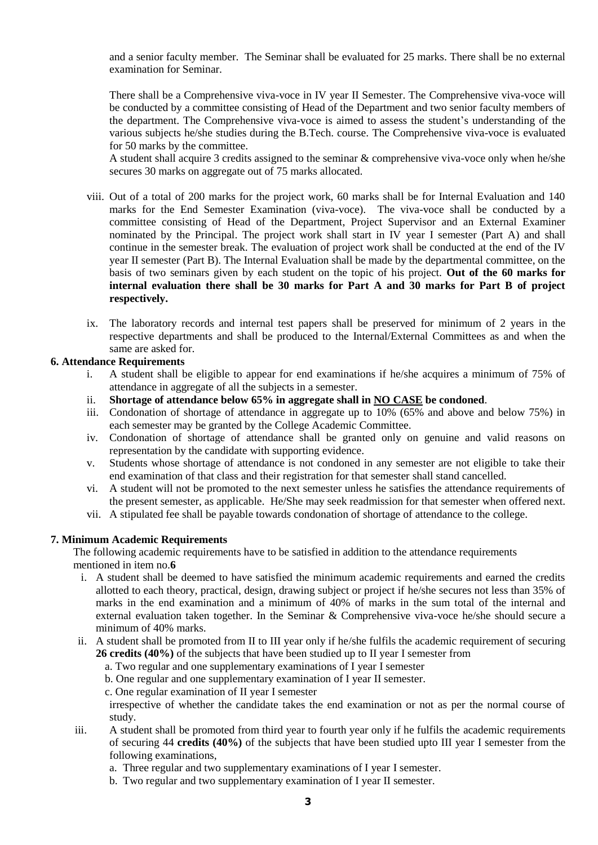and a senior faculty member. The Seminar shall be evaluated for 25 marks. There shall be no external examination for Seminar.

There shall be a Comprehensive viva-voce in IV year II Semester. The Comprehensive viva-voce will be conducted by a committee consisting of Head of the Department and two senior faculty members of the department. The Comprehensive viva-voce is aimed to assess the student's understanding of the various subjects he/she studies during the B.Tech. course. The Comprehensive viva-voce is evaluated for 50 marks by the committee.

A student shall acquire 3 credits assigned to the seminar & comprehensive viva-voce only when he/she secures 30 marks on aggregate out of 75 marks allocated.

- viii. Out of a total of 200 marks for the project work, 60 marks shall be for Internal Evaluation and 140 marks for the End Semester Examination (viva-voce). The viva-voce shall be conducted by a committee consisting of Head of the Department, Project Supervisor and an External Examiner nominated by the Principal. The project work shall start in IV year I semester (Part A) and shall continue in the semester break. The evaluation of project work shall be conducted at the end of the IV year II semester (Part B). The Internal Evaluation shall be made by the departmental committee, on the basis of two seminars given by each student on the topic of his project. **Out of the 60 marks for internal evaluation there shall be 30 marks for Part A and 30 marks for Part B of project respectively.**
- ix. The laboratory records and internal test papers shall be preserved for minimum of 2 years in the respective departments and shall be produced to the Internal/External Committees as and when the same are asked for.

#### **6. Attendance Requirements**

- i. A student shall be eligible to appear for end examinations if he/she acquires a minimum of 75% of attendance in aggregate of all the subjects in a semester.
- ii. **Shortage of attendance below 65% in aggregate shall in NO CASE be condoned**.
- iii. Condonation of shortage of attendance in aggregate up to 10% (65% and above and below 75%) in each semester may be granted by the College Academic Committee.
- iv. Condonation of shortage of attendance shall be granted only on genuine and valid reasons on representation by the candidate with supporting evidence.
- v. Students whose shortage of attendance is not condoned in any semester are not eligible to take their end examination of that class and their registration for that semester shall stand cancelled.
- vi. A student will not be promoted to the next semester unless he satisfies the attendance requirements of the present semester, as applicable. He/She may seek readmission for that semester when offered next.
- vii. A stipulated fee shall be payable towards condonation of shortage of attendance to the college.

#### **7. Minimum Academic Requirements**

The following academic requirements have to be satisfied in addition to the attendance requirements mentioned in item no.**6**

- i. A student shall be deemed to have satisfied the minimum academic requirements and earned the credits allotted to each theory, practical, design, drawing subject or project if he/she secures not less than 35% of marks in the end examination and a minimum of 40% of marks in the sum total of the internal and external evaluation taken together. In the Seminar & Comprehensive viva-voce he/she should secure a minimum of 40% marks.
- ii. A student shall be promoted from II to III year only if he/she fulfils the academic requirement of securing **26 credits (40%)** of the subjects that have been studied up to II year I semester from
	- a. Two regular and one supplementary examinations of I year I semester
	- b. One regular and one supplementary examination of I year II semester.
	- c. One regular examination of II year I semester

irrespective of whether the candidate takes the end examination or not as per the normal course of study.

- iii. A student shall be promoted from third year to fourth year only if he fulfils the academic requirements of securing 44 **credits (40%)** of the subjects that have been studied upto III year I semester from the following examinations,
	- a. Three regular and two supplementary examinations of I year I semester.
	- b. Two regular and two supplementary examination of I year II semester.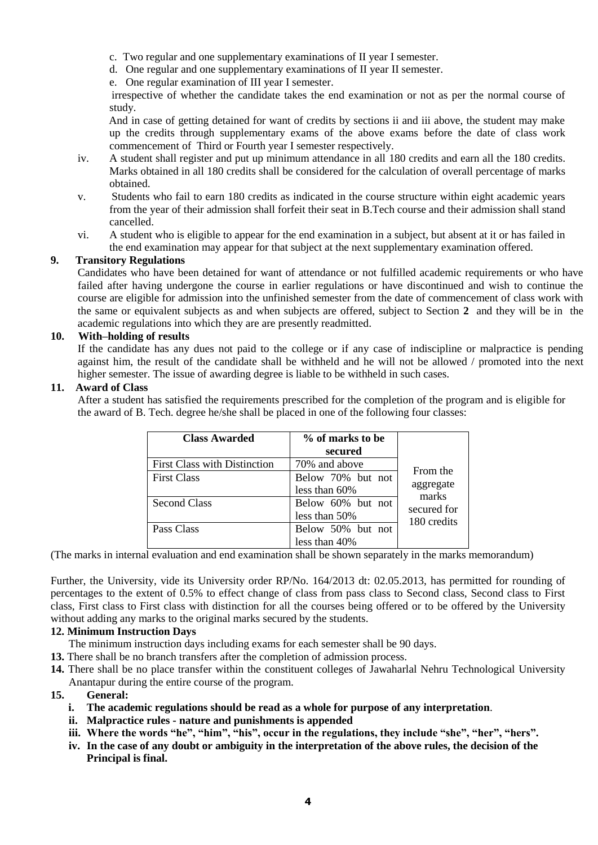- c. Two regular and one supplementary examinations of II year I semester.
- d. One regular and one supplementary examinations of II year II semester.
- e. One regular examination of III year I semester.

 irrespective of whether the candidate takes the end examination or not as per the normal course of study.

 And in case of getting detained for want of credits by sections ii and iii above, the student may make up the credits through supplementary exams of the above exams before the date of class work commencement of Third or Fourth year I semester respectively.

- iv. A student shall register and put up minimum attendance in all 180 credits and earn all the 180 credits. Marks obtained in all 180 credits shall be considered for the calculation of overall percentage of marks obtained.
- v. Students who fail to earn 180 credits as indicated in the course structure within eight academic years from the year of their admission shall forfeit their seat in B.Tech course and their admission shall stand cancelled.
- vi. A student who is eligible to appear for the end examination in a subject, but absent at it or has failed in the end examination may appear for that subject at the next supplementary examination offered.

## **9. Transitory Regulations**

Candidates who have been detained for want of attendance or not fulfilled academic requirements or who have failed after having undergone the course in earlier regulations or have discontinued and wish to continue the course are eligible for admission into the unfinished semester from the date of commencement of class work with the same or equivalent subjects as and when subjects are offered, subject to Section **2** and they will be in the academic regulations into which they are are presently readmitted.

## **10. With–holding of results**

If the candidate has any dues not paid to the college or if any case of indiscipline or malpractice is pending against him, the result of the candidate shall be withheld and he will not be allowed / promoted into the next higher semester. The issue of awarding degree is liable to be withheld in such cases.

## **11. Award of Class**

After a student has satisfied the requirements prescribed for the completion of the program and is eligible for the award of B. Tech. degree he/she shall be placed in one of the following four classes:

| <b>Class Awarded</b>         | % of marks to be  |                    |
|------------------------------|-------------------|--------------------|
|                              | secured           |                    |
| First Class with Distinction | 70% and above     | From the           |
| <b>First Class</b>           | Below 70% but not |                    |
|                              | less than 60%     | aggregate<br>marks |
| <b>Second Class</b>          | Below 60% but not | secured for        |
|                              | less than 50%     | 180 credits        |
| Pass Class                   | Below 50% but not |                    |
|                              | less than 40%     |                    |

(The marks in internal evaluation and end examination shall be shown separately in the marks memorandum)

Further, the University, vide its University order RP/No. 164/2013 dt: 02.05.2013, has permitted for rounding of percentages to the extent of 0.5% to effect change of class from pass class to Second class, Second class to First class, First class to First class with distinction for all the courses being offered or to be offered by the University without adding any marks to the original marks secured by the students.

## **12. Minimum Instruction Days**

The minimum instruction days including exams for each semester shall be 90 days.

- **13.** There shall be no branch transfers after the completion of admission process.
- **14.** There shall be no place transfer within the constituent colleges of Jawaharlal Nehru Technological University Anantapur during the entire course of the program.

#### **15. General:**

- **i. The academic regulations should be read as a whole for purpose of any interpretation**.
- **ii. Malpractice rules - nature and punishments is appended**
- **iii. Where the words "he", "him", "his", occur in the regulations, they include "she", "her", "hers".**
- **iv. In the case of any doubt or ambiguity in the interpretation of the above rules, the decision of the Principal is final.**